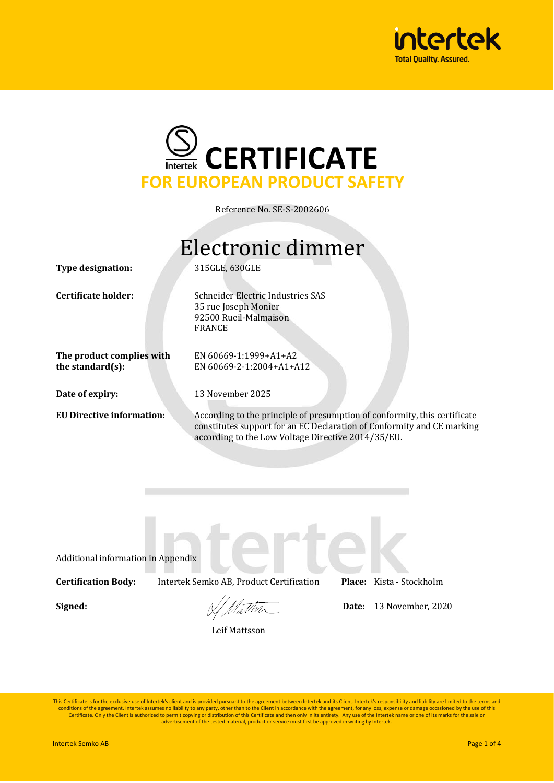



Reference No. SE-S-2002606

## Electronic dimmer

**Type designation:**

**Certificate holder:**

Schneider Electric Industries SAS 35 rue Joseph Monier

92500 Rueil-Malmaison

EN 60669-1:1999+A1+A2 EN 60669-2-1:2004+A1+A12

13 November 2025

315GLE, 630GLE

FRANCE

**The product complies with the standard(s):**

**Date of expiry:**

**EU Directive information:**

According to the principle of presumption of conformity, this certificate constitutes support for an EC Declaration of Conformity and CE marking according to the Low Voltage Directive 2014/35/EU.

Additional information in Appendix **Certification Body:** Intertek Semko AB, Product Certification **Place:** Kista - Stockholm **Signed:**  $\frac{1}{\sqrt{1-\frac{1}{n}}}\sqrt{\frac{1}{n}}$  Date: 13 November, 2020

Leif Mattsson

This Certificate is for the exclusive use of Intertek's client and is provided pursuant to the agreement between Intertek and its Client. Intertek's responsibility and liability are limited to the terms and conditions of the agreement. Intertek assumes no liability to any party, other than to the Client in accordance with the agreement, for any loss, expense or damage occasioned by the use of this<br>Certificate. Only the Client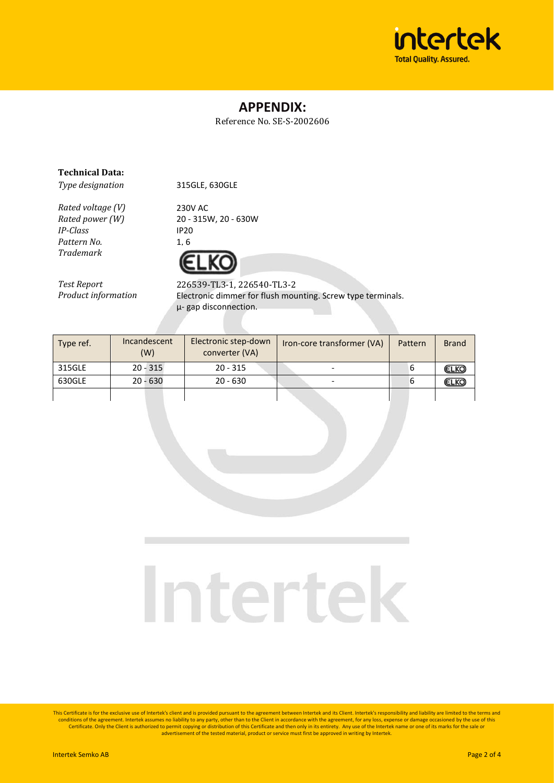

### **APPENDIX:**

Reference No. SE-S-2002606

#### **Technical Data:**

*Type designation*

*Rated voltage (V) Rated power (W) IP-Class Pattern No.*

*Trademark*

230V AC 20 - 315W, 20 - 630W IP20 1, 6

315GLE, 630GLE



*Test Report Product information* 226539-TL3-1, 226540-TL3-2 Electronic dimmer for flush mounting. Screw type terminals. µ- gap disconnection.

| Type ref. | Incandescent<br>(W) | Electronic step-down<br>converter (VA) | Iron-core transformer (VA) | Pattern | <b>Brand</b> |
|-----------|---------------------|----------------------------------------|----------------------------|---------|--------------|
| 315GLE    | $20 - 315$          | $20 - 315$                             |                            | ь       | <b>ELKO</b>  |
| 630GLE    | $20 - 630$          | $20 - 630$                             |                            | ь       | ELKO         |
|           |                     |                                        |                            |         |              |

# Intertek

This Certificate is for the exclusive use of Intertek's client and is provided pursuant to the agreement between Intertek and its Client. Intertek's responsibility and liability are limited to the terms and conditions of the agreement. Intertek assumes no liability to any party, other than to the Client in accordance with the agreement, for any loss, expense or damage occasioned by the use of this<br>Certificate. Only the Client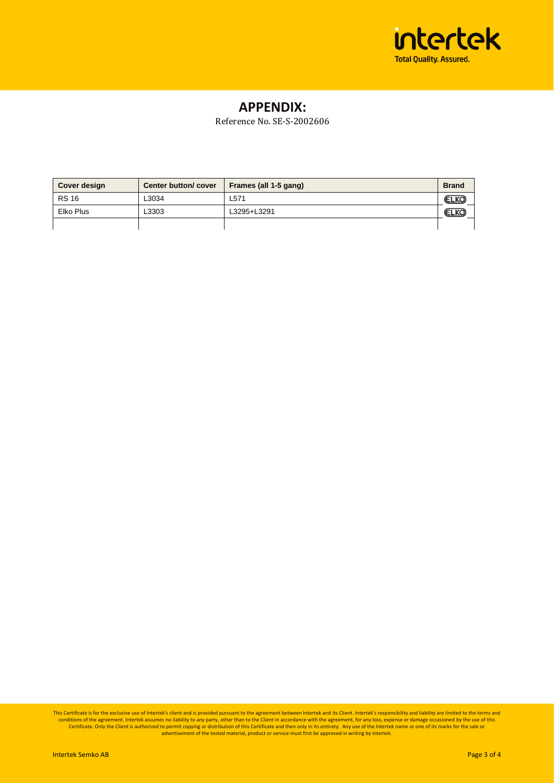

### **APPENDIX:**

Reference No. SE-S-2002606

| Cover design | Center button/cover | Frames (all 1-5 gang) | <b>Brand</b> |
|--------------|---------------------|-----------------------|--------------|
| <b>RS 16</b> | -3034               | L571                  | <b>ELKO</b>  |
| Elko Plus    | -3303               | L3295+L3291           | (ELKC        |
|              |                     |                       |              |

This Certificate is for the exclusive use of Intertek's client and is provided pursuant to the agreement between Intertek and its Client. Intertek's responsibility and liability are limited to the terms and<br>conditions of t